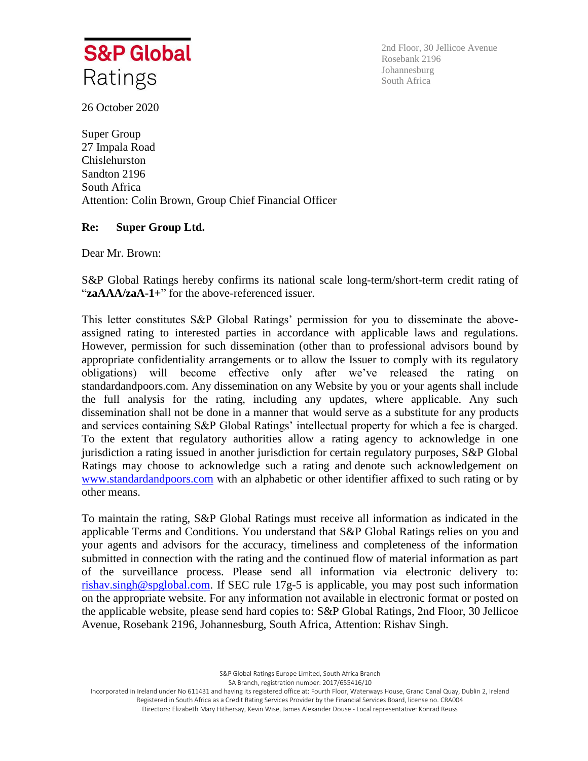

2nd Floor, 30 Jellicoe Avenue Rosebank 2196 Johannesburg South Africa

26 October 2020

Super Group 27 Impala Road Chislehurston Sandton 2196 South Africa Attention: Colin Brown, Group Chief Financial Officer

## **Re: Super Group Ltd.**

Dear Mr. Brown:

S&P Global Ratings hereby confirms its national scale long-term/short-term credit rating of "**zaAAA/zaA-1+**" for the above-referenced issuer.

This letter constitutes S&P Global Ratings' permission for you to disseminate the aboveassigned rating to interested parties in accordance with applicable laws and regulations. However, permission for such dissemination (other than to professional advisors bound by appropriate confidentiality arrangements or to allow the Issuer to comply with its regulatory obligations) will become effective only after we've released the rating on standardandpoors.com. Any dissemination on any Website by you or your agents shall include the full analysis for the rating, including any updates, where applicable. Any such dissemination shall not be done in a manner that would serve as a substitute for any products and services containing S&P Global Ratings' intellectual property for which a fee is charged. To the extent that regulatory authorities allow a rating agency to acknowledge in one jurisdiction a rating issued in another jurisdiction for certain regulatory purposes, S&P Global Ratings may choose to acknowledge such a rating and denote such acknowledgement on [www.standardandpoors.com](http://www.standardandpoors.com/) with an alphabetic or other identifier affixed to such rating or by other means.

To maintain the rating, S&P Global Ratings must receive all information as indicated in the applicable Terms and Conditions. You understand that S&P Global Ratings relies on you and your agents and advisors for the accuracy, timeliness and completeness of the information submitted in connection with the rating and the continued flow of material information as part of the surveillance process. Please send all information via electronic delivery to: [rishav.singh@spglobal.com.](mailto:rishav.singh@spglobal.com) If SEC rule 17g-5 is applicable, you may post such information on the appropriate website. For any information not available in electronic format or posted on the applicable website, please send hard copies to: S&P Global Ratings, 2nd Floor, 30 Jellicoe Avenue, Rosebank 2196, Johannesburg, South Africa, Attention: Rishav Singh.

> S&P Global Ratings Europe Limited, South Africa Branch SA Branch, registration number: 2017/655416/10

Incorporated in Ireland under No 611431 and having its registered office at: Fourth Floor, Waterways House, Grand Canal Quay, Dublin 2, Ireland Registered in South Africa as a Credit Rating Services Provider by the Financial Services Board, license no. CRA004 Directors: Elizabeth Mary Hithersay, Kevin Wise, James Alexander Douse - Local representative: Konrad Reuss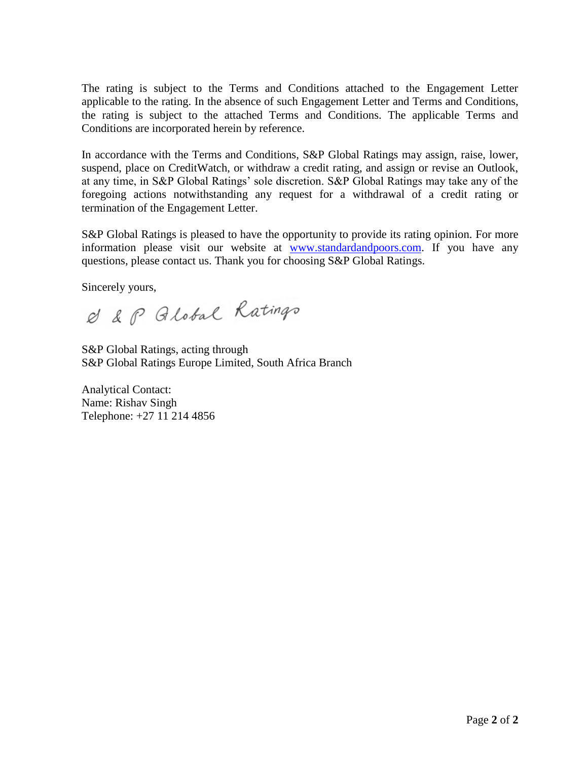The rating is subject to the Terms and Conditions attached to the Engagement Letter applicable to the rating. In the absence of such Engagement Letter and Terms and Conditions, the rating is subject to the attached Terms and Conditions. The applicable Terms and Conditions are incorporated herein by reference.

In accordance with the Terms and Conditions, S&P Global Ratings may assign, raise, lower, suspend, place on CreditWatch, or withdraw a credit rating, and assign or revise an Outlook, at any time, in S&P Global Ratings' sole discretion. S&P Global Ratings may take any of the foregoing actions notwithstanding any request for a withdrawal of a credit rating or termination of the Engagement Letter.

S&P Global Ratings is pleased to have the opportunity to provide its rating opinion. For more information please visit our website at [www.standardandpoors.com.](http://www.standardandpoors.com/) If you have any questions, please contact us. Thank you for choosing S&P Global Ratings.

Sincerely yours,

& & P Global Ratings

S&P Global Ratings, acting through S&P Global Ratings Europe Limited, South Africa Branch

Analytical Contact: Name: Rishav Singh Telephone: +27 11 214 4856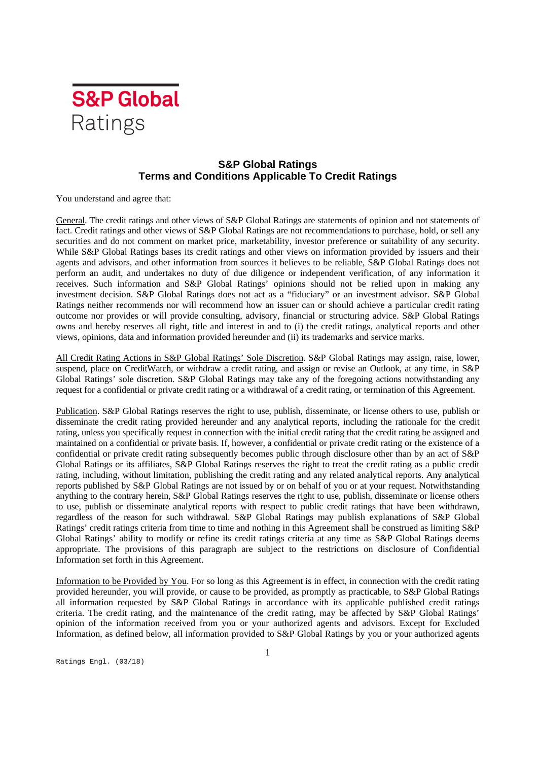

## **S&P Global Ratings Terms and Conditions Applicable To Credit Ratings**

You understand and agree that:

General. The credit ratings and other views of S&P Global Ratings are statements of opinion and not statements of fact. Credit ratings and other views of S&P Global Ratings are not recommendations to purchase, hold, or sell any securities and do not comment on market price, marketability, investor preference or suitability of any security. While S&P Global Ratings bases its credit ratings and other views on information provided by issuers and their agents and advisors, and other information from sources it believes to be reliable, S&P Global Ratings does not perform an audit, and undertakes no duty of due diligence or independent verification, of any information it receives. Such information and S&P Global Ratings' opinions should not be relied upon in making any investment decision. S&P Global Ratings does not act as a "fiduciary" or an investment advisor. S&P Global Ratings neither recommends nor will recommend how an issuer can or should achieve a particular credit rating outcome nor provides or will provide consulting, advisory, financial or structuring advice. S&P Global Ratings owns and hereby reserves all right, title and interest in and to (i) the credit ratings, analytical reports and other views, opinions, data and information provided hereunder and (ii) its trademarks and service marks.

All Credit Rating Actions in S&P Global Ratings' Sole Discretion. S&P Global Ratings may assign, raise, lower, suspend, place on CreditWatch, or withdraw a credit rating, and assign or revise an Outlook, at any time, in S&P Global Ratings' sole discretion. S&P Global Ratings may take any of the foregoing actions notwithstanding any request for a confidential or private credit rating or a withdrawal of a credit rating, or termination of this Agreement.

Publication. S&P Global Ratings reserves the right to use, publish, disseminate, or license others to use, publish or disseminate the credit rating provided hereunder and any analytical reports, including the rationale for the credit rating, unless you specifically request in connection with the initial credit rating that the credit rating be assigned and maintained on a confidential or private basis. If, however, a confidential or private credit rating or the existence of a confidential or private credit rating subsequently becomes public through disclosure other than by an act of S&P Global Ratings or its affiliates, S&P Global Ratings reserves the right to treat the credit rating as a public credit rating, including, without limitation, publishing the credit rating and any related analytical reports. Any analytical reports published by S&P Global Ratings are not issued by or on behalf of you or at your request. Notwithstanding anything to the contrary herein, S&P Global Ratings reserves the right to use, publish, disseminate or license others to use, publish or disseminate analytical reports with respect to public credit ratings that have been withdrawn, regardless of the reason for such withdrawal. S&P Global Ratings may publish explanations of S&P Global Ratings' credit ratings criteria from time to time and nothing in this Agreement shall be construed as limiting S&P Global Ratings' ability to modify or refine its credit ratings criteria at any time as S&P Global Ratings deems appropriate. The provisions of this paragraph are subject to the restrictions on disclosure of Confidential Information set forth in this Agreement.

Information to be Provided by You. For so long as this Agreement is in effect, in connection with the credit rating provided hereunder, you will provide, or cause to be provided, as promptly as practicable, to S&P Global Ratings all information requested by S&P Global Ratings in accordance with its applicable published credit ratings criteria. The credit rating, and the maintenance of the credit rating, may be affected by S&P Global Ratings' opinion of the information received from you or your authorized agents and advisors. Except for Excluded Information, as defined below, all information provided to S&P Global Ratings by you or your authorized agents

Ratings Engl. (03/18)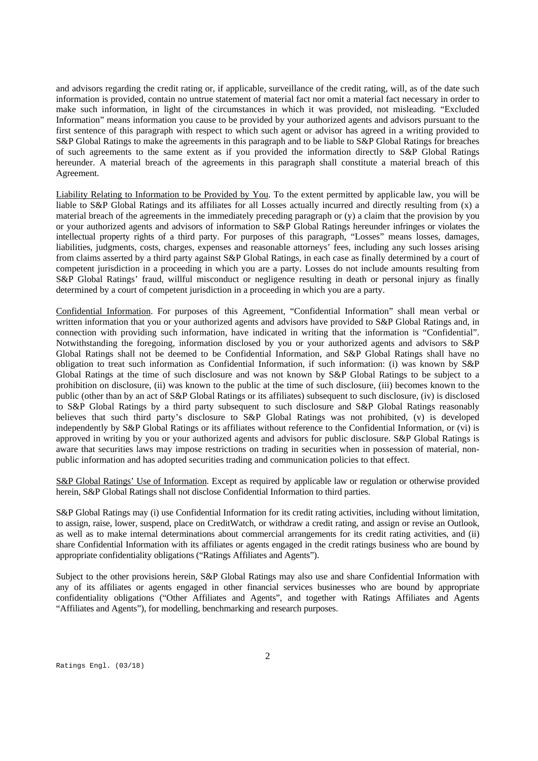and advisors regarding the credit rating or, if applicable, surveillance of the credit rating, will, as of the date such information is provided, contain no untrue statement of material fact nor omit a material fact necessary in order to make such information, in light of the circumstances in which it was provided, not misleading. "Excluded Information" means information you cause to be provided by your authorized agents and advisors pursuant to the first sentence of this paragraph with respect to which such agent or advisor has agreed in a writing provided to S&P Global Ratings to make the agreements in this paragraph and to be liable to S&P Global Ratings for breaches of such agreements to the same extent as if you provided the information directly to S&P Global Ratings hereunder. A material breach of the agreements in this paragraph shall constitute a material breach of this Agreement.

Liability Relating to Information to be Provided by You. To the extent permitted by applicable law, you will be liable to S&P Global Ratings and its affiliates for all Losses actually incurred and directly resulting from (x) a material breach of the agreements in the immediately preceding paragraph or (y) a claim that the provision by you or your authorized agents and advisors of information to S&P Global Ratings hereunder infringes or violates the intellectual property rights of a third party. For purposes of this paragraph, "Losses" means losses, damages, liabilities, judgments, costs, charges, expenses and reasonable attorneys' fees, including any such losses arising from claims asserted by a third party against S&P Global Ratings, in each case as finally determined by a court of competent jurisdiction in a proceeding in which you are a party. Losses do not include amounts resulting from S&P Global Ratings' fraud, willful misconduct or negligence resulting in death or personal injury as finally determined by a court of competent jurisdiction in a proceeding in which you are a party.

Confidential Information. For purposes of this Agreement, "Confidential Information" shall mean verbal or written information that you or your authorized agents and advisors have provided to S&P Global Ratings and, in connection with providing such information, have indicated in writing that the information is "Confidential". Notwithstanding the foregoing, information disclosed by you or your authorized agents and advisors to S&P Global Ratings shall not be deemed to be Confidential Information, and S&P Global Ratings shall have no obligation to treat such information as Confidential Information, if such information: (i) was known by S&P Global Ratings at the time of such disclosure and was not known by S&P Global Ratings to be subject to a prohibition on disclosure, (ii) was known to the public at the time of such disclosure, (iii) becomes known to the public (other than by an act of S&P Global Ratings or its affiliates) subsequent to such disclosure, (iv) is disclosed to S&P Global Ratings by a third party subsequent to such disclosure and S&P Global Ratings reasonably believes that such third party's disclosure to S&P Global Ratings was not prohibited, (v) is developed independently by S&P Global Ratings or its affiliates without reference to the Confidential Information, or (vi) is approved in writing by you or your authorized agents and advisors for public disclosure. S&P Global Ratings is aware that securities laws may impose restrictions on trading in securities when in possession of material, nonpublic information and has adopted securities trading and communication policies to that effect.

S&P Global Ratings' Use of Information. Except as required by applicable law or regulation or otherwise provided herein, S&P Global Ratings shall not disclose Confidential Information to third parties.

S&P Global Ratings may (i) use Confidential Information for its credit rating activities, including without limitation, to assign, raise, lower, suspend, place on CreditWatch, or withdraw a credit rating, and assign or revise an Outlook, as well as to make internal determinations about commercial arrangements for its credit rating activities, and (ii) share Confidential Information with its affiliates or agents engaged in the credit ratings business who are bound by appropriate confidentiality obligations ("Ratings Affiliates and Agents").

Subject to the other provisions herein, S&P Global Ratings may also use and share Confidential Information with any of its affiliates or agents engaged in other financial services businesses who are bound by appropriate confidentiality obligations ("Other Affiliates and Agents", and together with Ratings Affiliates and Agents "Affiliates and Agents"), for modelling, benchmarking and research purposes.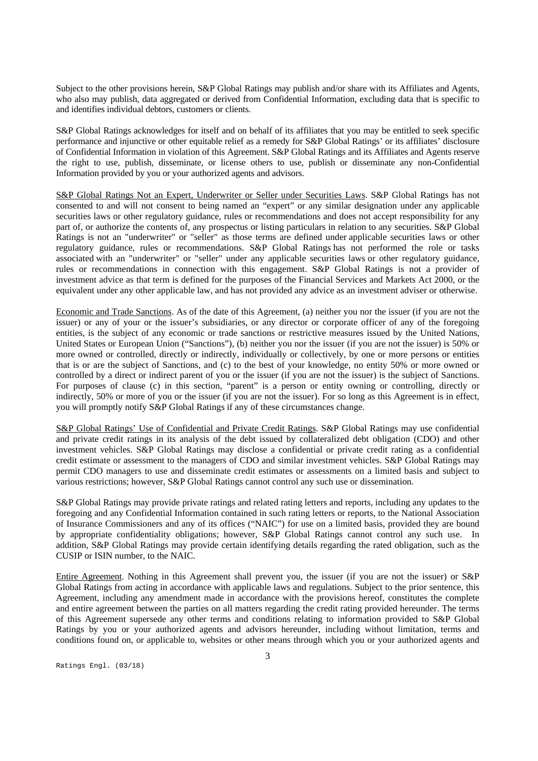Subject to the other provisions herein, S&P Global Ratings may publish and/or share with its Affiliates and Agents, who also may publish, data aggregated or derived from Confidential Information, excluding data that is specific to and identifies individual debtors, customers or clients.

S&P Global Ratings acknowledges for itself and on behalf of its affiliates that you may be entitled to seek specific performance and injunctive or other equitable relief as a remedy for S&P Global Ratings' or its affiliates' disclosure of Confidential Information in violation of this Agreement. S&P Global Ratings and its Affiliates and Agents reserve the right to use, publish, disseminate, or license others to use, publish or disseminate any non-Confidential Information provided by you or your authorized agents and advisors.

S&P Global Ratings Not an Expert, Underwriter or Seller under Securities Laws. S&P Global Ratings has not consented to and will not consent to being named an "expert" or any similar designation under any applicable securities laws or other regulatory guidance, rules or recommendations and does not accept responsibility for any part of, or authorize the contents of, any prospectus or listing particulars in relation to any securities. S&P Global Ratings is not an "underwriter" or "seller" as those terms are defined under applicable securities laws or other regulatory guidance, rules or recommendations. S&P Global Ratings has not performed the role or tasks associated with an "underwriter" or "seller" under any applicable securities laws or other regulatory guidance, rules or recommendations in connection with this engagement. S&P Global Ratings is not a provider of investment advice as that term is defined for the purposes of the Financial Services and Markets Act 2000, or the equivalent under any other applicable law, and has not provided any advice as an investment adviser or otherwise.

Economic and Trade Sanctions. As of the date of this Agreement, (a) neither you nor the issuer (if you are not the issuer) or any of your or the issuer's subsidiaries, or any director or corporate officer of any of the foregoing entities, is the subject of any economic or trade sanctions or restrictive measures issued by the United Nations, United States or European Union ("Sanctions"), (b) neither you nor the issuer (if you are not the issuer) is 50% or more owned or controlled, directly or indirectly, individually or collectively, by one or more persons or entities that is or are the subject of Sanctions, and (c) to the best of your knowledge, no entity 50% or more owned or controlled by a direct or indirect parent of you or the issuer (if you are not the issuer) is the subject of Sanctions. For purposes of clause (c) in this section, "parent" is a person or entity owning or controlling, directly or indirectly, 50% or more of you or the issuer (if you are not the issuer). For so long as this Agreement is in effect, you will promptly notify S&P Global Ratings if any of these circumstances change.

S&P Global Ratings' Use of Confidential and Private Credit Ratings. S&P Global Ratings may use confidential and private credit ratings in its analysis of the debt issued by collateralized debt obligation (CDO) and other investment vehicles. S&P Global Ratings may disclose a confidential or private credit rating as a confidential credit estimate or assessment to the managers of CDO and similar investment vehicles. S&P Global Ratings may permit CDO managers to use and disseminate credit estimates or assessments on a limited basis and subject to various restrictions; however, S&P Global Ratings cannot control any such use or dissemination.

S&P Global Ratings may provide private ratings and related rating letters and reports, including any updates to the foregoing and any Confidential Information contained in such rating letters or reports, to the National Association of Insurance Commissioners and any of its offices ("NAIC") for use on a limited basis, provided they are bound by appropriate confidentiality obligations; however, S&P Global Ratings cannot control any such use. In addition, S&P Global Ratings may provide certain identifying details regarding the rated obligation, such as the CUSIP or ISIN number, to the NAIC.

Entire Agreement. Nothing in this Agreement shall prevent you, the issuer (if you are not the issuer) or S&P Global Ratings from acting in accordance with applicable laws and regulations. Subject to the prior sentence, this Agreement, including any amendment made in accordance with the provisions hereof, constitutes the complete and entire agreement between the parties on all matters regarding the credit rating provided hereunder. The terms of this Agreement supersede any other terms and conditions relating to information provided to S&P Global Ratings by you or your authorized agents and advisors hereunder, including without limitation, terms and conditions found on, or applicable to, websites or other means through which you or your authorized agents and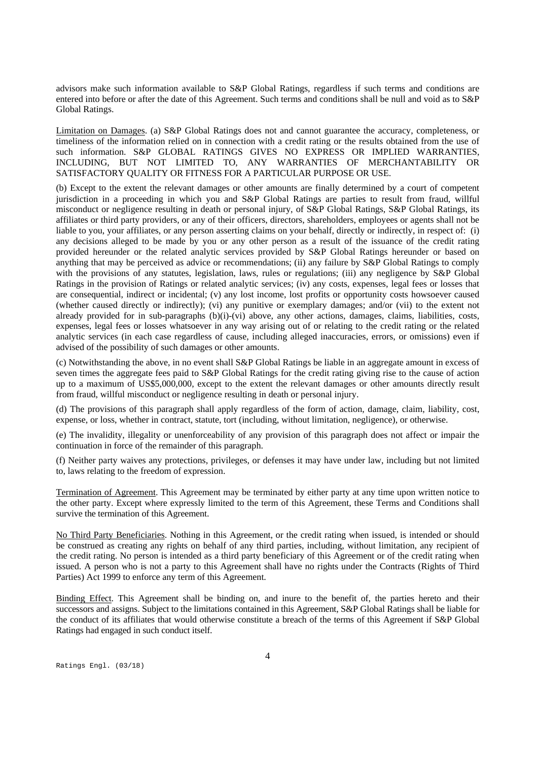advisors make such information available to S&P Global Ratings, regardless if such terms and conditions are entered into before or after the date of this Agreement. Such terms and conditions shall be null and void as to S&P Global Ratings.

Limitation on Damages. (a) S&P Global Ratings does not and cannot guarantee the accuracy, completeness, or timeliness of the information relied on in connection with a credit rating or the results obtained from the use of such information. S&P GLOBAL RATINGS GIVES NO EXPRESS OR IMPLIED WARRANTIES, INCLUDING, BUT NOT LIMITED TO, ANY WARRANTIES OF MERCHANTABILITY OR SATISFACTORY QUALITY OR FITNESS FOR A PARTICULAR PURPOSE OR USE.

(b) Except to the extent the relevant damages or other amounts are finally determined by a court of competent jurisdiction in a proceeding in which you and S&P Global Ratings are parties to result from fraud, willful misconduct or negligence resulting in death or personal injury, of S&P Global Ratings, S&P Global Ratings, its affiliates or third party providers, or any of their officers, directors, shareholders, employees or agents shall not be liable to you, your affiliates, or any person asserting claims on your behalf, directly or indirectly, in respect of: (i) any decisions alleged to be made by you or any other person as a result of the issuance of the credit rating provided hereunder or the related analytic services provided by S&P Global Ratings hereunder or based on anything that may be perceived as advice or recommendations; (ii) any failure by S&P Global Ratings to comply with the provisions of any statutes, legislation, laws, rules or regulations; (iii) any negligence by S&P Global Ratings in the provision of Ratings or related analytic services; (iv) any costs, expenses, legal fees or losses that are consequential, indirect or incidental; (v) any lost income, lost profits or opportunity costs howsoever caused (whether caused directly or indirectly); (vi) any punitive or exemplary damages; and/or (vii) to the extent not already provided for in sub-paragraphs (b)(i)-(vi) above, any other actions, damages, claims, liabilities, costs, expenses, legal fees or losses whatsoever in any way arising out of or relating to the credit rating or the related analytic services (in each case regardless of cause, including alleged inaccuracies, errors, or omissions) even if advised of the possibility of such damages or other amounts.

(c) Notwithstanding the above, in no event shall S&P Global Ratings be liable in an aggregate amount in excess of seven times the aggregate fees paid to S&P Global Ratings for the credit rating giving rise to the cause of action up to a maximum of US\$5,000,000, except to the extent the relevant damages or other amounts directly result from fraud, willful misconduct or negligence resulting in death or personal injury.

(d) The provisions of this paragraph shall apply regardless of the form of action, damage, claim, liability, cost, expense, or loss, whether in contract, statute, tort (including, without limitation, negligence), or otherwise.

(e) The invalidity, illegality or unenforceability of any provision of this paragraph does not affect or impair the continuation in force of the remainder of this paragraph.

(f) Neither party waives any protections, privileges, or defenses it may have under law, including but not limited to, laws relating to the freedom of expression.

Termination of Agreement. This Agreement may be terminated by either party at any time upon written notice to the other party. Except where expressly limited to the term of this Agreement, these Terms and Conditions shall survive the termination of this Agreement.

No Third Party Beneficiaries. Nothing in this Agreement, or the credit rating when issued, is intended or should be construed as creating any rights on behalf of any third parties, including, without limitation, any recipient of the credit rating. No person is intended as a third party beneficiary of this Agreement or of the credit rating when issued. A person who is not a party to this Agreement shall have no rights under the Contracts (Rights of Third Parties) Act 1999 to enforce any term of this Agreement.

Binding Effect. This Agreement shall be binding on, and inure to the benefit of, the parties hereto and their successors and assigns. Subject to the limitations contained in this Agreement, S&P Global Ratings shall be liable for the conduct of its affiliates that would otherwise constitute a breach of the terms of this Agreement if S&P Global Ratings had engaged in such conduct itself.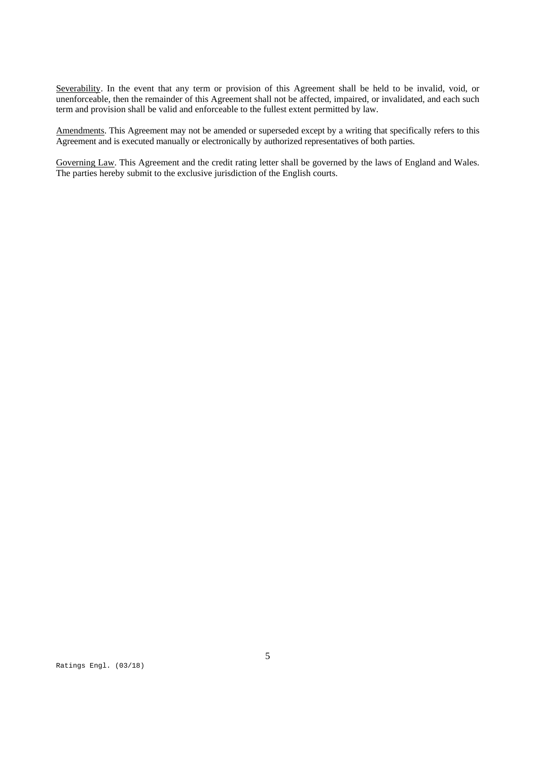Severability. In the event that any term or provision of this Agreement shall be held to be invalid, void, or unenforceable, then the remainder of this Agreement shall not be affected, impaired, or invalidated, and each such term and provision shall be valid and enforceable to the fullest extent permitted by law.

Amendments. This Agreement may not be amended or superseded except by a writing that specifically refers to this Agreement and is executed manually or electronically by authorized representatives of both parties.

Governing Law. This Agreement and the credit rating letter shall be governed by the laws of England and Wales. The parties hereby submit to the exclusive jurisdiction of the English courts.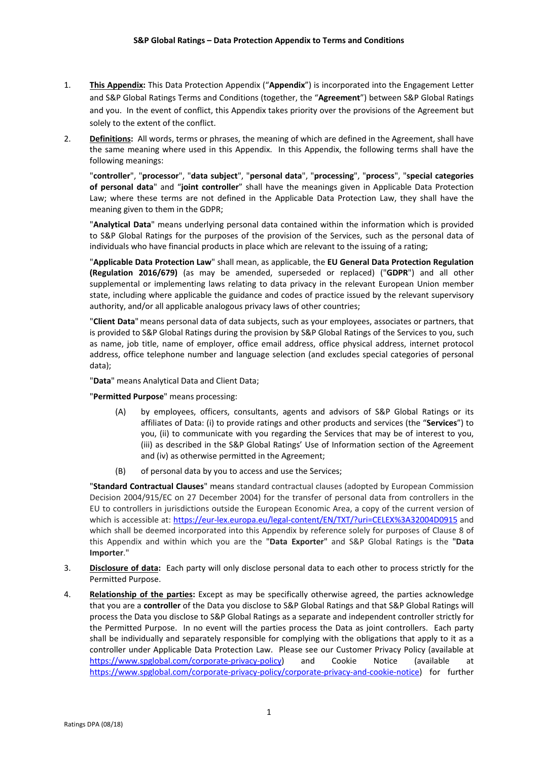- 1. **This Appendix:** This Data Protection Appendix ("**Appendix**") is incorporated into the Engagement Letter and S&P Global Ratings Terms and Conditions (together, the "**Agreement**") between S&P Global Ratings and you. In the event of conflict, this Appendix takes priority over the provisions of the Agreement but solely to the extent of the conflict.
- 2. **Definitions:** All words, terms or phrases, the meaning of which are defined in the Agreement, shall have the same meaning where used in this Appendix. In this Appendix, the following terms shall have the following meanings:

"**controller**", "**processor**", "**data subject**", "**personal data**", "**processing**", "**process**", "**special categories of personal data**" and "**joint controller**" shall have the meanings given in Applicable Data Protection Law; where these terms are not defined in the Applicable Data Protection Law, they shall have the meaning given to them in the GDPR;

"**Analytical Data**" means underlying personal data contained within the information which is provided to S&P Global Ratings for the purposes of the provision of the Services, such as the personal data of individuals who have financial products in place which are relevant to the issuing of a rating;

"**Applicable Data Protection Law**" shall mean, as applicable, the **EU General Data Protection Regulation (Regulation 2016/679)** (as may be amended, superseded or replaced) ("**GDPR**") and all other supplemental or implementing laws relating to data privacy in the relevant European Union member state, including where applicable the guidance and codes of practice issued by the relevant supervisory authority, and/or all applicable analogous privacy laws of other countries;

"**Client Data**"means personal data of data subjects, such as your employees, associates or partners, that is provided to S&P Global Ratings during the provision by S&P Global Ratings of the Services to you, such as name, job title, name of employer, office email address, office physical address, internet protocol address, office telephone number and language selection (and excludes special categories of personal data);

"**Data**" means Analytical Data and Client Data;

"**Permitted Purpose**" means processing:

- (A) by employees, officers, consultants, agents and advisors of S&P Global Ratings or its affiliates of Data: (i) to provide ratings and other products and services (the "**Services**") to you, (ii) to communicate with you regarding the Services that may be of interest to you, (iii) as described in the S&P Global Ratings' Use of Information section of the Agreement and (iv) as otherwise permitted in the Agreement;
- (B) of personal data by you to access and use the Services;

"**Standard Contractual Clauses**" means standard contractual clauses (adopted by European Commission Decision 2004/915/EC on 27 December 2004) for the transfer of personal data from controllers in the EU to controllers in jurisdictions outside the European Economic Area, a copy of the current version of which is accessible at: https://eur-lex.europa.eu/legal-content/EN/TXT/?uri=CELEX%3A32004D0915 and which shall be deemed incorporated into this Appendix by reference solely for purposes of Clause 8 of this Appendix and within which you are the "**Data Exporter**" and S&P Global Ratings is the "**Data Importer**."

- 3. **Disclosure of data:** Each party will only disclose personal data to each other to process strictly for the Permitted Purpose.
- 4. **Relationship of the parties:** Except as may be specifically otherwise agreed, the parties acknowledge that you are a **controller** of the Data you disclose to S&P Global Ratings and that S&P Global Ratings will process the Data you disclose to S&P Global Ratings as a separate and independent controller strictly for the Permitted Purpose. In no event will the parties process the Data as joint controllers. Each party shall be individually and separately responsible for complying with the obligations that apply to it as a controller under Applicable Data Protection Law.Please see our Customer Privacy Policy (available at https://www.spglobal.com/corporate‐privacy‐policy) and Cookie Notice (available at https://www.spglobal.com/corporate‐privacy‐policy/corporate‐privacy‐and‐cookie‐notice) for further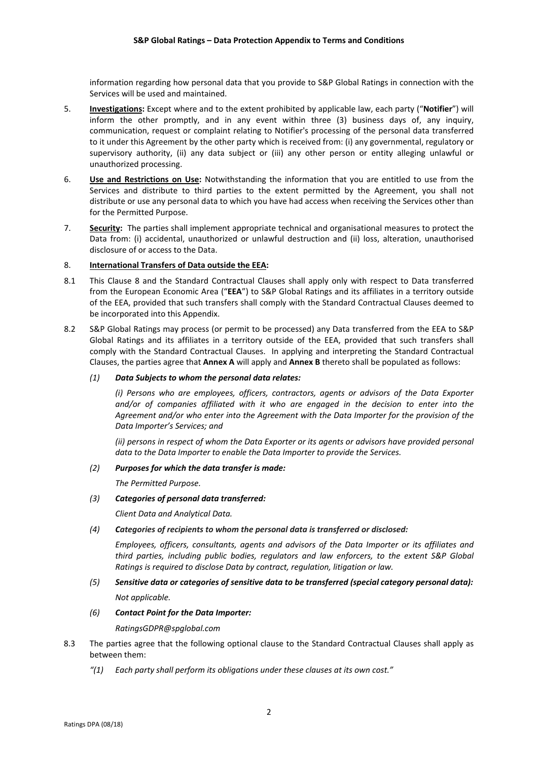information regarding how personal data that you provide to S&P Global Ratings in connection with the Services will be used and maintained.

- 5. **Investigations:** Except where and to the extent prohibited by applicable law, each party ("**Notifier**") will inform the other promptly, and in any event within three (3) business days of, any inquiry, communication, request or complaint relating to Notifier's processing of the personal data transferred to it under this Agreement by the other party which is received from: (i) any governmental, regulatory or supervisory authority, (ii) any data subject or (iii) any other person or entity alleging unlawful or unauthorized processing.
- 6. **Use and Restrictions on Use:** Notwithstanding the information that you are entitled to use from the Services and distribute to third parties to the extent permitted by the Agreement, you shall not distribute or use any personal data to which you have had access when receiving the Services other than for the Permitted Purpose.
- 7. **Security:** The parties shall implement appropriate technical and organisational measures to protect the Data from: (i) accidental, unauthorized or unlawful destruction and (ii) loss, alteration, unauthorised disclosure of or access to the Data.

#### 8. **International Transfers of Data outside the EEA:**

- 8.1 This Clause 8 and the Standard Contractual Clauses shall apply only with respect to Data transferred from the European Economic Area ("**EEA**") to S&P Global Ratings and its affiliates in a territory outside of the EEA, provided that such transfers shall comply with the Standard Contractual Clauses deemed to be incorporated into this Appendix.
- 8.2 S&P Global Ratings may process (or permit to be processed) any Data transferred from the EEA to S&P Global Ratings and its affiliates in a territory outside of the EEA, provided that such transfers shall comply with the Standard Contractual Clauses. In applying and interpreting the Standard Contractual Clauses, the parties agree that **Annex A** will apply and **Annex B** thereto shall be populated as follows:

#### *(1) Data Subjects to whom the personal data relates:*

*(i) Persons who are employees, officers, contractors, agents or advisors of the Data Exporter and/or of companies affiliated with it who are engaged in the decision to enter into the Agreement and/or who enter into the Agreement with the Data Importer for the provision of the Data Importer's Services; and* 

*(ii) persons in respect of whom the Data Exporter or its agents or advisors have provided personal data to the Data Importer to enable the Data Importer to provide the Services.*

#### *(2) Purposes for which the data transfer is made:*

*The Permitted Purpose.*

#### *(3) Categories of personal data transferred:*

*Client Data and Analytical Data.*

#### *(4) Categories of recipients to whom the personal data is transferred or disclosed:*

*Employees, officers, consultants, agents and advisors of the Data Importer or its affiliates and third parties, including public bodies, regulators and law enforcers, to the extent S&P Global Ratings is required to disclose Data by contract, regulation, litigation or law.*

# *(5) Sensitive data or categories of sensitive data to be transferred (special category personal data): Not applicable.*

### *(6) Contact Point for the Data Importer:*

*RatingsGDPR@spglobal.com*

- 8.3 The parties agree that the following optional clause to the Standard Contractual Clauses shall apply as between them:
	- *"(1) Each party shall perform its obligations under these clauses at its own cost."*